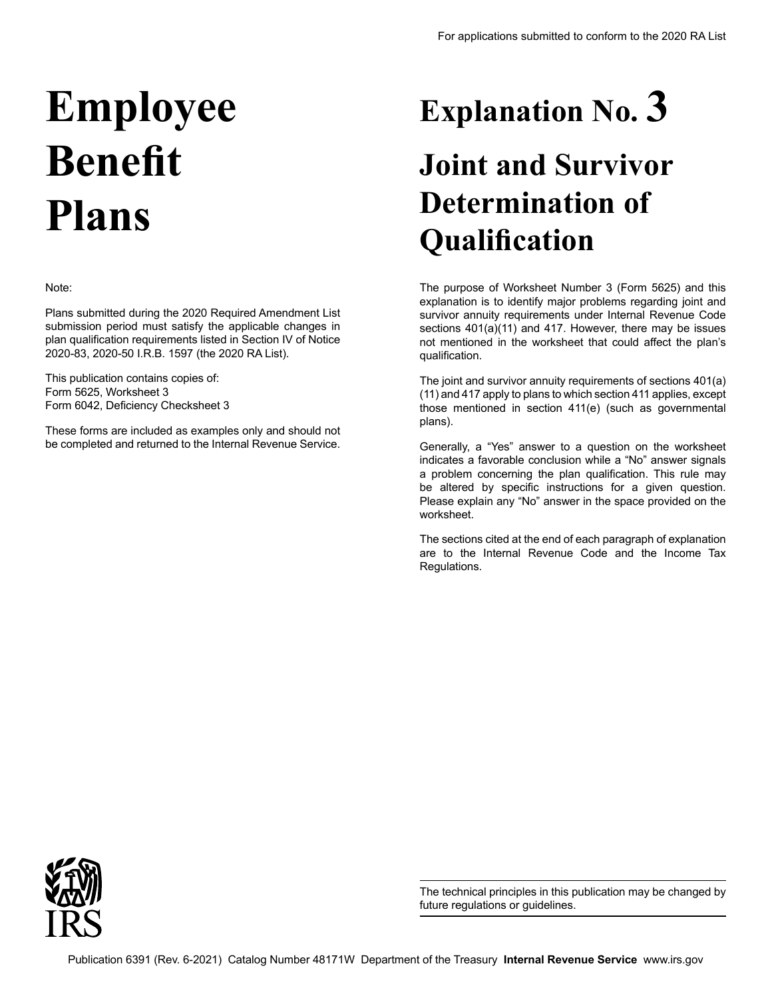# **Employee Benefit Plans**

#### Note:

Plans submitted during the 2020 Required Amendment List submission period must satisfy the applicable changes in plan qualification requirements listed in Section IV of Notice 2020-83, 2020-50 I.R.B. 1597 (the 2020 RA List).

This publication contains copies of: Form 5625, Worksheet 3 Form 6042, Deficiency Checksheet 3

These forms are included as examples only and should not be completed and returned to the Internal Revenue Service.

# **Explanation No. 3**

## **Joint and Survivor Determination of Qualification**

The purpose of Worksheet Number 3 (Form 5625) and this explanation is to identify major problems regarding joint and survivor annuity requirements under Internal Revenue Code sections 401(a)(11) and 417. However, there may be issues not mentioned in the worksheet that could affect the plan's qualification.

The joint and survivor annuity requirements of sections 401(a) (11) and 417 apply to plans to which section 411 applies, except those mentioned in section 411(e) (such as governmental plans).

Generally, a "Yes" answer to a question on the worksheet indicates a favorable conclusion while a "No" answer signals a problem concerning the plan qualification. This rule may be altered by specific instructions for a given question. Please explain any "No" answer in the space provided on the worksheet.

The sections cited at the end of each paragraph of explanation are to the Internal Revenue Code and the Income Tax Regulations.



The technical principles in this publication may be changed by future regulations or guidelines.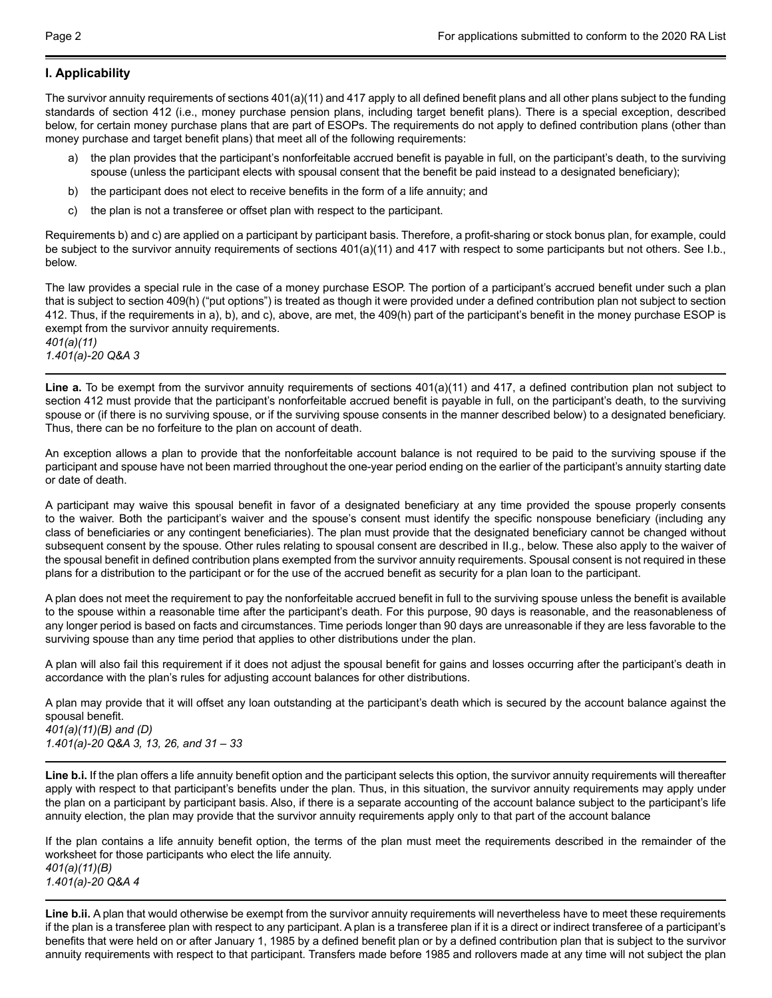## **I. Applicability**

The survivor annuity requirements of sections 401(a)(11) and 417 apply to all defined benefit plans and all other plans subject to the funding standards of section 412 (i.e., money purchase pension plans, including target benefit plans). There is a special exception, described below, for certain money purchase plans that are part of ESOPs. The requirements do not apply to defined contribution plans (other than money purchase and target benefit plans) that meet all of the following requirements:

- a) the plan provides that the participant's nonforfeitable accrued benefit is payable in full, on the participant's death, to the surviving spouse (unless the participant elects with spousal consent that the benefit be paid instead to a designated beneficiary);
- b) the participant does not elect to receive benefits in the form of a life annuity; and
- c) the plan is not a transferee or offset plan with respect to the participant.

Requirements b) and c) are applied on a participant by participant basis. Therefore, a profit-sharing or stock bonus plan, for example, could be subject to the survivor annuity requirements of sections 401(a)(11) and 417 with respect to some participants but not others. See I.b., below.

The law provides a special rule in the case of a money purchase ESOP. The portion of a participant's accrued benefit under such a plan that is subject to section 409(h) ("put options") is treated as though it were provided under a defined contribution plan not subject to section 412. Thus, if the requirements in a), b), and c), above, are met, the 409(h) part of the participant's benefit in the money purchase ESOP is exempt from the survivor annuity requirements.

*401(a)(11) 1.401(a)-20 Q&A 3*

Line a. To be exempt from the survivor annuity requirements of sections 401(a)(11) and 417, a defined contribution plan not subject to section 412 must provide that the participant's nonforfeitable accrued benefit is payable in full, on the participant's death, to the surviving spouse or (if there is no surviving spouse, or if the surviving spouse consents in the manner described below) to a designated beneficiary. Thus, there can be no forfeiture to the plan on account of death.

An exception allows a plan to provide that the nonforfeitable account balance is not required to be paid to the surviving spouse if the participant and spouse have not been married throughout the one-year period ending on the earlier of the participant's annuity starting date or date of death.

A participant may waive this spousal benefit in favor of a designated beneficiary at any time provided the spouse properly consents to the waiver. Both the participant's waiver and the spouse's consent must identify the specific nonspouse beneficiary (including any class of beneficiaries or any contingent beneficiaries). The plan must provide that the designated beneficiary cannot be changed without subsequent consent by the spouse. Other rules relating to spousal consent are described in II.g., below. These also apply to the waiver of the spousal benefit in defined contribution plans exempted from the survivor annuity requirements. Spousal consent is not required in these plans for a distribution to the participant or for the use of the accrued benefit as security for a plan loan to the participant.

A plan does not meet the requirement to pay the nonforfeitable accrued benefit in full to the surviving spouse unless the benefit is available to the spouse within a reasonable time after the participant's death. For this purpose, 90 days is reasonable, and the reasonableness of any longer period is based on facts and circumstances. Time periods longer than 90 days are unreasonable if they are less favorable to the surviving spouse than any time period that applies to other distributions under the plan.

A plan will also fail this requirement if it does not adjust the spousal benefit for gains and losses occurring after the participant's death in accordance with the plan's rules for adjusting account balances for other distributions.

A plan may provide that it will offset any loan outstanding at the participant's death which is secured by the account balance against the spousal benefit.

*401(a)(11)(B) and (D) 1.401(a)-20 Q&A 3, 13, 26, and 31 – 33*

Line b.i. If the plan offers a life annuity benefit option and the participant selects this option, the survivor annuity requirements will thereafter apply with respect to that participant's benefits under the plan. Thus, in this situation, the survivor annuity requirements may apply under the plan on a participant by participant basis. Also, if there is a separate accounting of the account balance subject to the participant's life annuity election, the plan may provide that the survivor annuity requirements apply only to that part of the account balance

If the plan contains a life annuity benefit option, the terms of the plan must meet the requirements described in the remainder of the worksheet for those participants who elect the life annuity. *401(a)(11)(B) 1.401(a)-20 Q&A 4*

**Line b.ii.** A plan that would otherwise be exempt from the survivor annuity requirements will nevertheless have to meet these requirements if the plan is a transferee plan with respect to any participant. A plan is a transferee plan if it is a direct or indirect transferee of a participant's benefits that were held on or after January 1, 1985 by a defined benefit plan or by a defined contribution plan that is subject to the survivor annuity requirements with respect to that participant. Transfers made before 1985 and rollovers made at any time will not subject the plan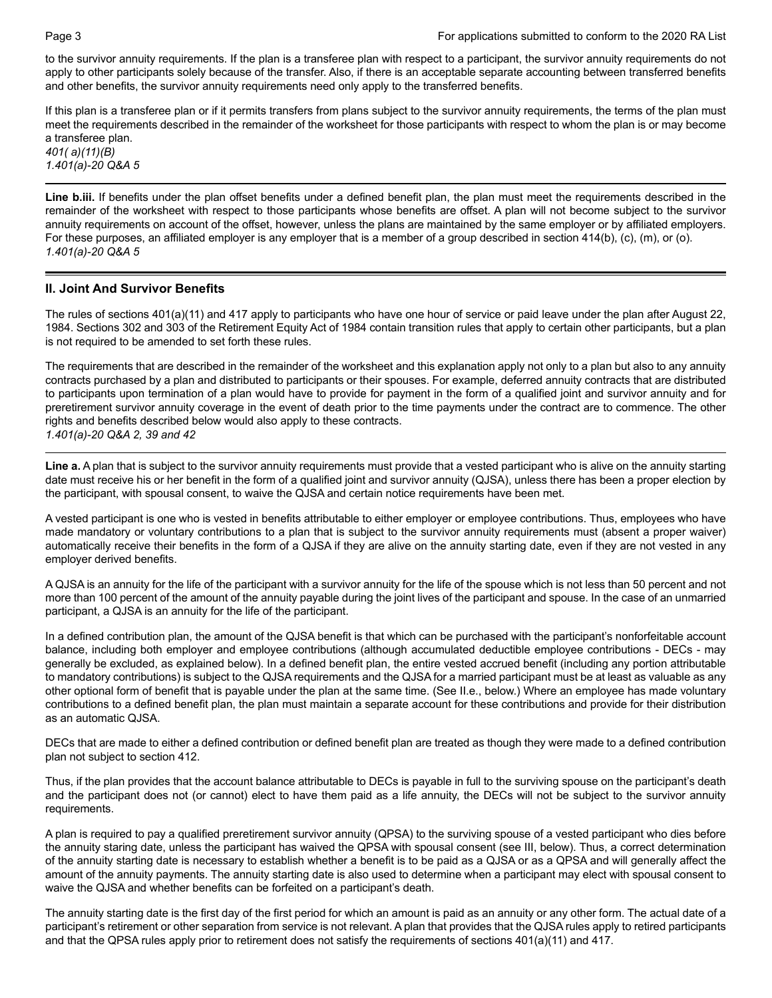to the survivor annuity requirements. If the plan is a transferee plan with respect to a participant, the survivor annuity requirements do not apply to other participants solely because of the transfer. Also, if there is an acceptable separate accounting between transferred benefits and other benefits, the survivor annuity requirements need only apply to the transferred benefits.

If this plan is a transferee plan or if it permits transfers from plans subject to the survivor annuity requirements, the terms of the plan must meet the requirements described in the remainder of the worksheet for those participants with respect to whom the plan is or may become a transferee plan.

*401( a)(11)(B) 1.401(a)-20 Q&A 5*

**Line b.iii.** If benefits under the plan offset benefits under a defined benefit plan, the plan must meet the requirements described in the remainder of the worksheet with respect to those participants whose benefits are offset. A plan will not become subject to the survivor annuity requirements on account of the offset, however, unless the plans are maintained by the same employer or by affiliated employers. For these purposes, an affiliated employer is any employer that is a member of a group described in section 414(b), (c), (m), or (o). *1.401(a)-20 Q&A 5*

### **II. Joint And Survivor Benefits**

The rules of sections 401(a)(11) and 417 apply to participants who have one hour of service or paid leave under the plan after August 22, 1984. Sections 302 and 303 of the Retirement Equity Act of 1984 contain transition rules that apply to certain other participants, but a plan is not required to be amended to set forth these rules.

The requirements that are described in the remainder of the worksheet and this explanation apply not only to a plan but also to any annuity contracts purchased by a plan and distributed to participants or their spouses. For example, deferred annuity contracts that are distributed to participants upon termination of a plan would have to provide for payment in the form of a qualified joint and survivor annuity and for preretirement survivor annuity coverage in the event of death prior to the time payments under the contract are to commence. The other rights and benefits described below would also apply to these contracts. *1.401(a)-20 Q&A 2, 39 and 42*

**Line a.** A plan that is subject to the survivor annuity requirements must provide that a vested participant who is alive on the annuity starting date must receive his or her benefit in the form of a qualified joint and survivor annuity (QJSA), unless there has been a proper election by the participant, with spousal consent, to waive the QJSA and certain notice requirements have been met.

A vested participant is one who is vested in benefits attributable to either employer or employee contributions. Thus, employees who have made mandatory or voluntary contributions to a plan that is subject to the survivor annuity requirements must (absent a proper waiver) automatically receive their benefits in the form of a QJSA if they are alive on the annuity starting date, even if they are not vested in any employer derived benefits.

A QJSA is an annuity for the life of the participant with a survivor annuity for the life of the spouse which is not less than 50 percent and not more than 100 percent of the amount of the annuity payable during the joint lives of the participant and spouse. In the case of an unmarried participant, a QJSA is an annuity for the life of the participant.

In a defined contribution plan, the amount of the QJSA benefit is that which can be purchased with the participant's nonforfeitable account balance, including both employer and employee contributions (although accumulated deductible employee contributions - DECs - may generally be excluded, as explained below). In a defined benefit plan, the entire vested accrued benefit (including any portion attributable to mandatory contributions) is subject to the QJSA requirements and the QJSA for a married participant must be at least as valuable as any other optional form of benefit that is payable under the plan at the same time. (See II.e., below.) Where an employee has made voluntary contributions to a defined benefit plan, the plan must maintain a separate account for these contributions and provide for their distribution as an automatic QJSA.

DECs that are made to either a defined contribution or defined benefit plan are treated as though they were made to a defined contribution plan not subject to section 412.

Thus, if the plan provides that the account balance attributable to DECs is payable in full to the surviving spouse on the participant's death and the participant does not (or cannot) elect to have them paid as a life annuity, the DECs will not be subject to the survivor annuity requirements.

A plan is required to pay a qualified preretirement survivor annuity (QPSA) to the surviving spouse of a vested participant who dies before the annuity staring date, unless the participant has waived the QPSA with spousal consent (see III, below). Thus, a correct determination of the annuity starting date is necessary to establish whether a benefit is to be paid as a QJSA or as a QPSA and will generally affect the amount of the annuity payments. The annuity starting date is also used to determine when a participant may elect with spousal consent to waive the QJSA and whether benefits can be forfeited on a participant's death.

The annuity starting date is the first day of the first period for which an amount is paid as an annuity or any other form. The actual date of a participant's retirement or other separation from service is not relevant. A plan that provides that the QJSA rules apply to retired participants and that the QPSA rules apply prior to retirement does not satisfy the requirements of sections 401(a)(11) and 417.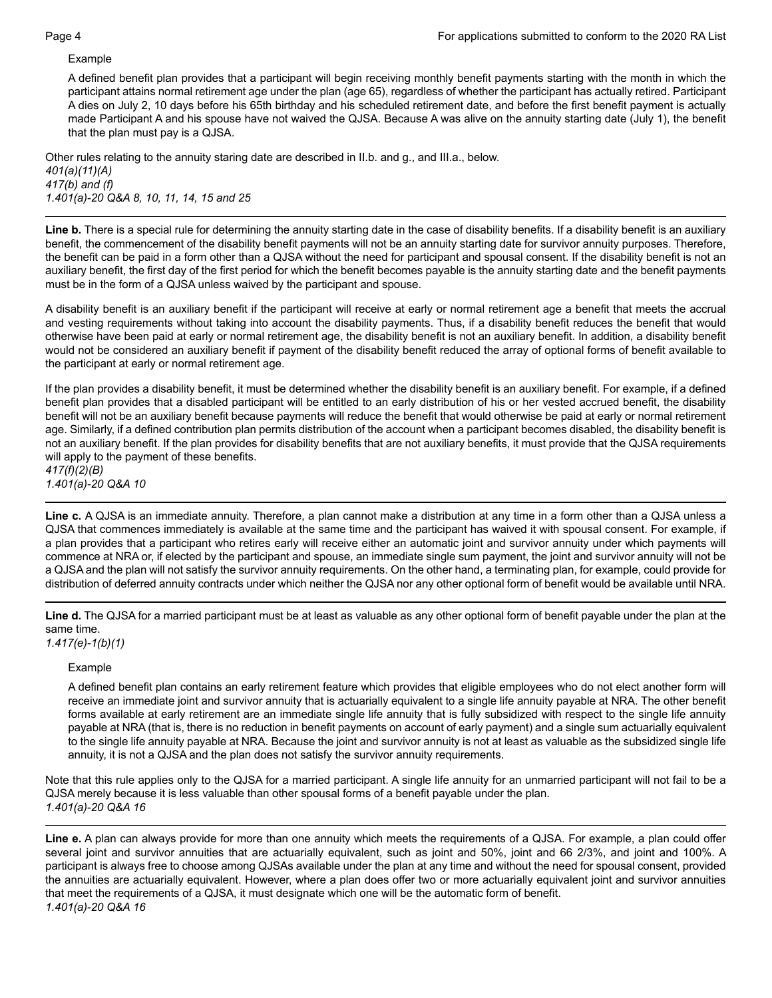#### Example

A defined benefit plan provides that a participant will begin receiving monthly benefit payments starting with the month in which the participant attains normal retirement age under the plan (age 65), regardless of whether the participant has actually retired. Participant A dies on July 2, 10 days before his 65th birthday and his scheduled retirement date, and before the first benefit payment is actually made Participant A and his spouse have not waived the QJSA. Because A was alive on the annuity starting date (July 1), the benefit that the plan must pay is a QJSA.

Other rules relating to the annuity staring date are described in II.b. and g., and III.a., below. *401(a)(11)(A) 417(b) and (f) 1.401(a)-20 Q&A 8, 10, 11, 14, 15 and 25*

Line b. There is a special rule for determining the annuity starting date in the case of disability benefits. If a disability benefit is an auxiliary benefit, the commencement of the disability benefit payments will not be an annuity starting date for survivor annuity purposes. Therefore, the benefit can be paid in a form other than a QJSA without the need for participant and spousal consent. If the disability benefit is not an auxiliary benefit, the first day of the first period for which the benefit becomes payable is the annuity starting date and the benefit payments must be in the form of a QJSA unless waived by the participant and spouse.

A disability benefit is an auxiliary benefit if the participant will receive at early or normal retirement age a benefit that meets the accrual and vesting requirements without taking into account the disability payments. Thus, if a disability benefit reduces the benefit that would otherwise have been paid at early or normal retirement age, the disability benefit is not an auxiliary benefit. In addition, a disability benefit would not be considered an auxiliary benefit if payment of the disability benefit reduced the array of optional forms of benefit available to the participant at early or normal retirement age.

If the plan provides a disability benefit, it must be determined whether the disability benefit is an auxiliary benefit. For example, if a defined benefit plan provides that a disabled participant will be entitled to an early distribution of his or her vested accrued benefit, the disability benefit will not be an auxiliary benefit because payments will reduce the benefit that would otherwise be paid at early or normal retirement age. Similarly, if a defined contribution plan permits distribution of the account when a participant becomes disabled, the disability benefit is not an auxiliary benefit. If the plan provides for disability benefits that are not auxiliary benefits, it must provide that the QJSA requirements will apply to the payment of these benefits.

*417(f)(2)(B) 1.401(a)-20 Q&A 10*

**Line c.** A QJSA is an immediate annuity. Therefore, a plan cannot make a distribution at any time in a form other than a QJSA unless a QJSA that commences immediately is available at the same time and the participant has waived it with spousal consent. For example, if a plan provides that a participant who retires early will receive either an automatic joint and survivor annuity under which payments will commence at NRA or, if elected by the participant and spouse, an immediate single sum payment, the joint and survivor annuity will not be a QJSA and the plan will not satisfy the survivor annuity requirements. On the other hand, a terminating plan, for example, could provide for distribution of deferred annuity contracts under which neither the QJSA nor any other optional form of benefit would be available until NRA.

**Line d.** The QJSA for a married participant must be at least as valuable as any other optional form of benefit payable under the plan at the same time.

*1.417(e)-1(b)(1)*

#### Example

A defined benefit plan contains an early retirement feature which provides that eligible employees who do not elect another form will receive an immediate joint and survivor annuity that is actuarially equivalent to a single life annuity payable at NRA. The other benefit forms available at early retirement are an immediate single life annuity that is fully subsidized with respect to the single life annuity payable at NRA (that is, there is no reduction in benefit payments on account of early payment) and a single sum actuarially equivalent to the single life annuity payable at NRA. Because the joint and survivor annuity is not at least as valuable as the subsidized single life annuity, it is not a QJSA and the plan does not satisfy the survivor annuity requirements.

Note that this rule applies only to the QJSA for a married participant. A single life annuity for an unmarried participant will not fail to be a QJSA merely because it is less valuable than other spousal forms of a benefit payable under the plan. *1.401(a)-20 Q&A 16*

**Line e.** A plan can always provide for more than one annuity which meets the requirements of a QJSA. For example, a plan could offer several joint and survivor annuities that are actuarially equivalent, such as joint and 50%, joint and 66 2/3%, and joint and 100%. A participant is always free to choose among QJSAs available under the plan at any time and without the need for spousal consent, provided the annuities are actuarially equivalent. However, where a plan does offer two or more actuarially equivalent joint and survivor annuities that meet the requirements of a QJSA, it must designate which one will be the automatic form of benefit. *1.401(a)-20 Q&A 16*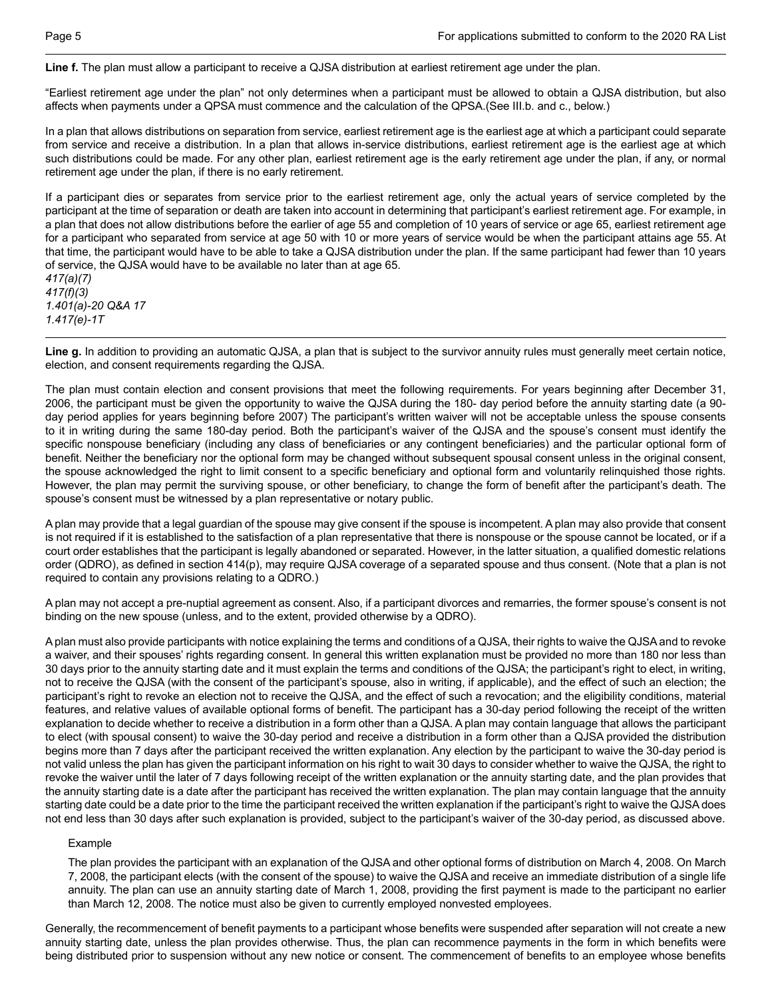**Line f.** The plan must allow a participant to receive a QJSA distribution at earliest retirement age under the plan.

"Earliest retirement age under the plan" not only determines when a participant must be allowed to obtain a QJSA distribution, but also affects when payments under a QPSA must commence and the calculation of the QPSA.(See III.b. and c., below.)

In a plan that allows distributions on separation from service, earliest retirement age is the earliest age at which a participant could separate from service and receive a distribution. In a plan that allows in-service distributions, earliest retirement age is the earliest age at which such distributions could be made. For any other plan, earliest retirement age is the early retirement age under the plan, if any, or normal retirement age under the plan, if there is no early retirement.

If a participant dies or separates from service prior to the earliest retirement age, only the actual years of service completed by the participant at the time of separation or death are taken into account in determining that participant's earliest retirement age. For example, in a plan that does not allow distributions before the earlier of age 55 and completion of 10 years of service or age 65, earliest retirement age for a participant who separated from service at age 50 with 10 or more years of service would be when the participant attains age 55. At that time, the participant would have to be able to take a QJSA distribution under the plan. If the same participant had fewer than 10 years of service, the QJSA would have to be available no later than at age 65.

*417(a)(7) 417(f)(3) 1.401(a)-20 Q&A 17 1.417(e)-1T*

**Line g.** In addition to providing an automatic QJSA, a plan that is subject to the survivor annuity rules must generally meet certain notice, election, and consent requirements regarding the QJSA.

The plan must contain election and consent provisions that meet the following requirements. For years beginning after December 31, 2006, the participant must be given the opportunity to waive the QJSA during the 180- day period before the annuity starting date (a 90 day period applies for years beginning before 2007) The participant's written waiver will not be acceptable unless the spouse consents to it in writing during the same 180-day period. Both the participant's waiver of the QJSA and the spouse's consent must identify the specific nonspouse beneficiary (including any class of beneficiaries or any contingent beneficiaries) and the particular optional form of benefit. Neither the beneficiary nor the optional form may be changed without subsequent spousal consent unless in the original consent, the spouse acknowledged the right to limit consent to a specific beneficiary and optional form and voluntarily relinquished those rights. However, the plan may permit the surviving spouse, or other beneficiary, to change the form of benefit after the participant's death. The spouse's consent must be witnessed by a plan representative or notary public.

A plan may provide that a legal guardian of the spouse may give consent if the spouse is incompetent. A plan may also provide that consent is not required if it is established to the satisfaction of a plan representative that there is nonspouse or the spouse cannot be located, or if a court order establishes that the participant is legally abandoned or separated. However, in the latter situation, a qualified domestic relations order (QDRO), as defined in section 414(p), may require QJSA coverage of a separated spouse and thus consent. (Note that a plan is not required to contain any provisions relating to a QDRO.)

A plan may not accept a pre-nuptial agreement as consent. Also, if a participant divorces and remarries, the former spouse's consent is not binding on the new spouse (unless, and to the extent, provided otherwise by a QDRO).

A plan must also provide participants with notice explaining the terms and conditions of a QJSA, their rights to waive the QJSA and to revoke a waiver, and their spouses' rights regarding consent. In general this written explanation must be provided no more than 180 nor less than 30 days prior to the annuity starting date and it must explain the terms and conditions of the QJSA; the participant's right to elect, in writing, not to receive the QJSA (with the consent of the participant's spouse, also in writing, if applicable), and the effect of such an election; the participant's right to revoke an election not to receive the QJSA, and the effect of such a revocation; and the eligibility conditions, material features, and relative values of available optional forms of benefit. The participant has a 30-day period following the receipt of the written explanation to decide whether to receive a distribution in a form other than a QJSA. A plan may contain language that allows the participant to elect (with spousal consent) to waive the 30-day period and receive a distribution in a form other than a QJSA provided the distribution begins more than 7 days after the participant received the written explanation. Any election by the participant to waive the 30-day period is not valid unless the plan has given the participant information on his right to wait 30 days to consider whether to waive the QJSA, the right to revoke the waiver until the later of 7 days following receipt of the written explanation or the annuity starting date, and the plan provides that the annuity starting date is a date after the participant has received the written explanation. The plan may contain language that the annuity starting date could be a date prior to the time the participant received the written explanation if the participant's right to waive the QJSA does not end less than 30 days after such explanation is provided, subject to the participant's waiver of the 30-day period, as discussed above.

### Example

The plan provides the participant with an explanation of the QJSA and other optional forms of distribution on March 4, 2008. On March 7, 2008, the participant elects (with the consent of the spouse) to waive the QJSA and receive an immediate distribution of a single life annuity. The plan can use an annuity starting date of March 1, 2008, providing the first payment is made to the participant no earlier than March 12, 2008. The notice must also be given to currently employed nonvested employees.

Generally, the recommencement of benefit payments to a participant whose benefits were suspended after separation will not create a new annuity starting date, unless the plan provides otherwise. Thus, the plan can recommence payments in the form in which benefits were being distributed prior to suspension without any new notice or consent. The commencement of benefits to an employee whose benefits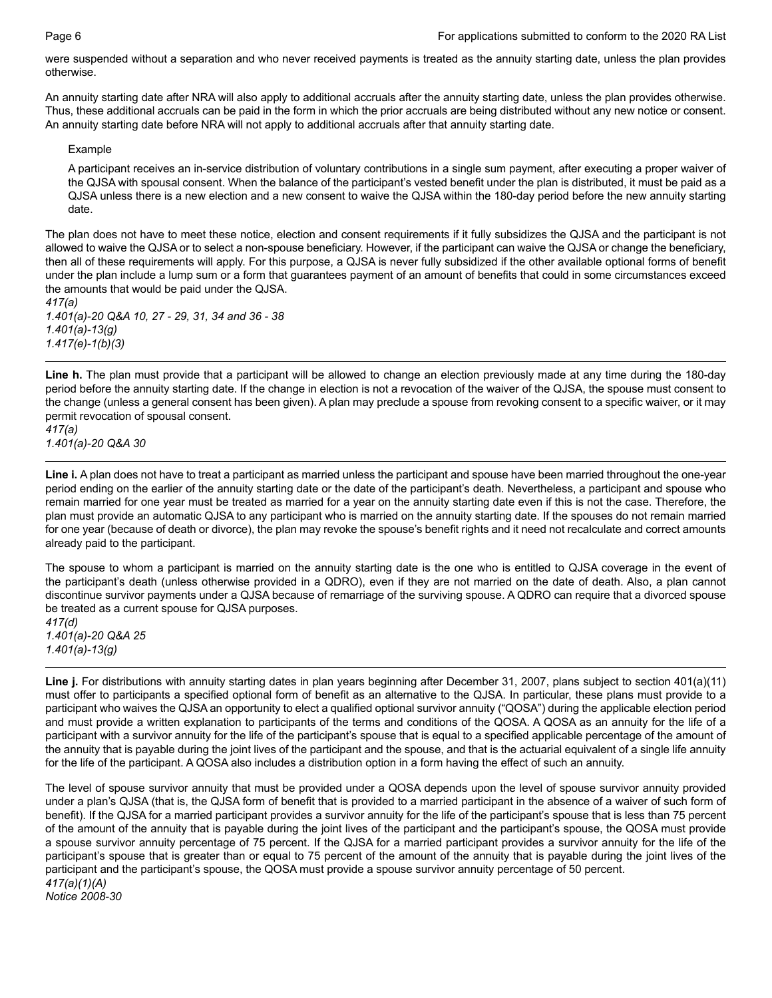were suspended without a separation and who never received payments is treated as the annuity starting date, unless the plan provides otherwise.

An annuity starting date after NRA will also apply to additional accruals after the annuity starting date, unless the plan provides otherwise. Thus, these additional accruals can be paid in the form in which the prior accruals are being distributed without any new notice or consent. An annuity starting date before NRA will not apply to additional accruals after that annuity starting date.

#### Example

A participant receives an in-service distribution of voluntary contributions in a single sum payment, after executing a proper waiver of the QJSA with spousal consent. When the balance of the participant's vested benefit under the plan is distributed, it must be paid as a QJSA unless there is a new election and a new consent to waive the QJSA within the 180-day period before the new annuity starting date.

The plan does not have to meet these notice, election and consent requirements if it fully subsidizes the QJSA and the participant is not allowed to waive the QJSA or to select a non-spouse beneficiary. However, if the participant can waive the QJSA or change the beneficiary, then all of these requirements will apply. For this purpose, a QJSA is never fully subsidized if the other available optional forms of benefit under the plan include a lump sum or a form that guarantees payment of an amount of benefits that could in some circumstances exceed the amounts that would be paid under the QJSA.

*417(a) 1.401(a)-20 Q&A 10, 27 - 29, 31, 34 and 36 - 38 1.401(a)-13(g) 1.417(e)-1(b)(3)*

**Line h.** The plan must provide that a participant will be allowed to change an election previously made at any time during the 180-day period before the annuity starting date. If the change in election is not a revocation of the waiver of the QJSA, the spouse must consent to the change (unless a general consent has been given). A plan may preclude a spouse from revoking consent to a specific waiver, or it may permit revocation of spousal consent.

*417(a) 1.401(a)-20 Q&A 30*

**Line i.** A plan does not have to treat a participant as married unless the participant and spouse have been married throughout the one-year period ending on the earlier of the annuity starting date or the date of the participant's death. Nevertheless, a participant and spouse who remain married for one year must be treated as married for a year on the annuity starting date even if this is not the case. Therefore, the plan must provide an automatic QJSA to any participant who is married on the annuity starting date. If the spouses do not remain married for one year (because of death or divorce), the plan may revoke the spouse's benefit rights and it need not recalculate and correct amounts already paid to the participant.

The spouse to whom a participant is married on the annuity starting date is the one who is entitled to QJSA coverage in the event of the participant's death (unless otherwise provided in a QDRO), even if they are not married on the date of death. Also, a plan cannot discontinue survivor payments under a QJSA because of remarriage of the surviving spouse. A QDRO can require that a divorced spouse be treated as a current spouse for QJSA purposes.

*417(d) 1.401(a)-20 Q&A 25 1.401(a)-13(g)*

Line j. For distributions with annuity starting dates in plan years beginning after December 31, 2007, plans subject to section 401(a)(11) must offer to participants a specified optional form of benefit as an alternative to the QJSA. In particular, these plans must provide to a participant who waives the QJSA an opportunity to elect a qualified optional survivor annuity ("QOSA") during the applicable election period and must provide a written explanation to participants of the terms and conditions of the QOSA. A QOSA as an annuity for the life of a participant with a survivor annuity for the life of the participant's spouse that is equal to a specified applicable percentage of the amount of the annuity that is payable during the joint lives of the participant and the spouse, and that is the actuarial equivalent of a single life annuity for the life of the participant. A QOSA also includes a distribution option in a form having the effect of such an annuity.

The level of spouse survivor annuity that must be provided under a QOSA depends upon the level of spouse survivor annuity provided under a plan's QJSA (that is, the QJSA form of benefit that is provided to a married participant in the absence of a waiver of such form of benefit). If the QJSA for a married participant provides a survivor annuity for the life of the participant's spouse that is less than 75 percent of the amount of the annuity that is payable during the joint lives of the participant and the participant's spouse, the QOSA must provide a spouse survivor annuity percentage of 75 percent. If the QJSA for a married participant provides a survivor annuity for the life of the participant's spouse that is greater than or equal to 75 percent of the amount of the annuity that is payable during the joint lives of the participant and the participant's spouse, the QOSA must provide a spouse survivor annuity percentage of 50 percent. *417(a)(1)(A)*

*Notice 2008-30*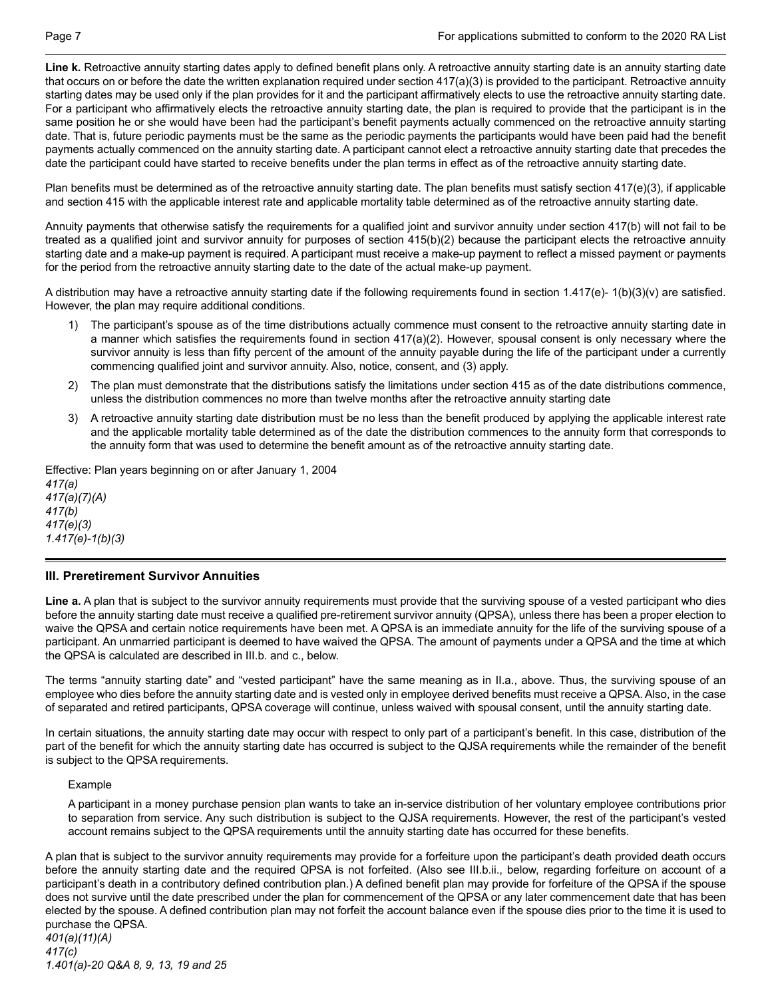**Line k.** Retroactive annuity starting dates apply to defined benefit plans only. A retroactive annuity starting date is an annuity starting date that occurs on or before the date the written explanation required under section 417(a)(3) is provided to the participant. Retroactive annuity starting dates may be used only if the plan provides for it and the participant affirmatively elects to use the retroactive annuity starting date. For a participant who affirmatively elects the retroactive annuity starting date, the plan is required to provide that the participant is in the same position he or she would have been had the participant's benefit payments actually commenced on the retroactive annuity starting date. That is, future periodic payments must be the same as the periodic payments the participants would have been paid had the benefit payments actually commenced on the annuity starting date. A participant cannot elect a retroactive annuity starting date that precedes the date the participant could have started to receive benefits under the plan terms in effect as of the retroactive annuity starting date.

Plan benefits must be determined as of the retroactive annuity starting date. The plan benefits must satisfy section 417(e)(3), if applicable and section 415 with the applicable interest rate and applicable mortality table determined as of the retroactive annuity starting date.

Annuity payments that otherwise satisfy the requirements for a qualified joint and survivor annuity under section 417(b) will not fail to be treated as a qualified joint and survivor annuity for purposes of section 415(b)(2) because the participant elects the retroactive annuity starting date and a make-up payment is required. A participant must receive a make-up payment to reflect a missed payment or payments for the period from the retroactive annuity starting date to the date of the actual make-up payment.

A distribution may have a retroactive annuity starting date if the following requirements found in section 1.417(e)- 1(b)(3)(v) are satisfied. However, the plan may require additional conditions.

- 1) The participant's spouse as of the time distributions actually commence must consent to the retroactive annuity starting date in a manner which satisfies the requirements found in section 417(a)(2). However, spousal consent is only necessary where the survivor annuity is less than fifty percent of the amount of the annuity payable during the life of the participant under a currently commencing qualified joint and survivor annuity. Also, notice, consent, and (3) apply.
- 2) The plan must demonstrate that the distributions satisfy the limitations under section 415 as of the date distributions commence, unless the distribution commences no more than twelve months after the retroactive annuity starting date
- 3) A retroactive annuity starting date distribution must be no less than the benefit produced by applying the applicable interest rate and the applicable mortality table determined as of the date the distribution commences to the annuity form that corresponds to the annuity form that was used to determine the benefit amount as of the retroactive annuity starting date.

Effective: Plan years beginning on or after January 1, 2004 *417(a) 417(a)(7)(A) 417(b) 417(e)(3) 1.417(e)-1(b)(3)*

### **III. Preretirement Survivor Annuities**

**Line a.** A plan that is subject to the survivor annuity requirements must provide that the surviving spouse of a vested participant who dies before the annuity starting date must receive a qualified pre-retirement survivor annuity (QPSA), unless there has been a proper election to waive the QPSA and certain notice requirements have been met. A QPSA is an immediate annuity for the life of the surviving spouse of a participant. An unmarried participant is deemed to have waived the QPSA. The amount of payments under a QPSA and the time at which the QPSA is calculated are described in III.b. and c., below.

The terms "annuity starting date" and "vested participant" have the same meaning as in II.a., above. Thus, the surviving spouse of an employee who dies before the annuity starting date and is vested only in employee derived benefits must receive a QPSA. Also, in the case of separated and retired participants, QPSA coverage will continue, unless waived with spousal consent, until the annuity starting date.

In certain situations, the annuity starting date may occur with respect to only part of a participant's benefit. In this case, distribution of the part of the benefit for which the annuity starting date has occurred is subject to the QJSA requirements while the remainder of the benefit is subject to the QPSA requirements.

### Example

A participant in a money purchase pension plan wants to take an in-service distribution of her voluntary employee contributions prior to separation from service. Any such distribution is subject to the QJSA requirements. However, the rest of the participant's vested account remains subject to the QPSA requirements until the annuity starting date has occurred for these benefits.

A plan that is subject to the survivor annuity requirements may provide for a forfeiture upon the participant's death provided death occurs before the annuity starting date and the required QPSA is not forfeited. (Also see III.b.ii., below, regarding forfeiture on account of a participant's death in a contributory defined contribution plan.) A defined benefit plan may provide for forfeiture of the QPSA if the spouse does not survive until the date prescribed under the plan for commencement of the QPSA or any later commencement date that has been elected by the spouse. A defined contribution plan may not forfeit the account balance even if the spouse dies prior to the time it is used to purchase the QPSA. *401(a)(11)(A)*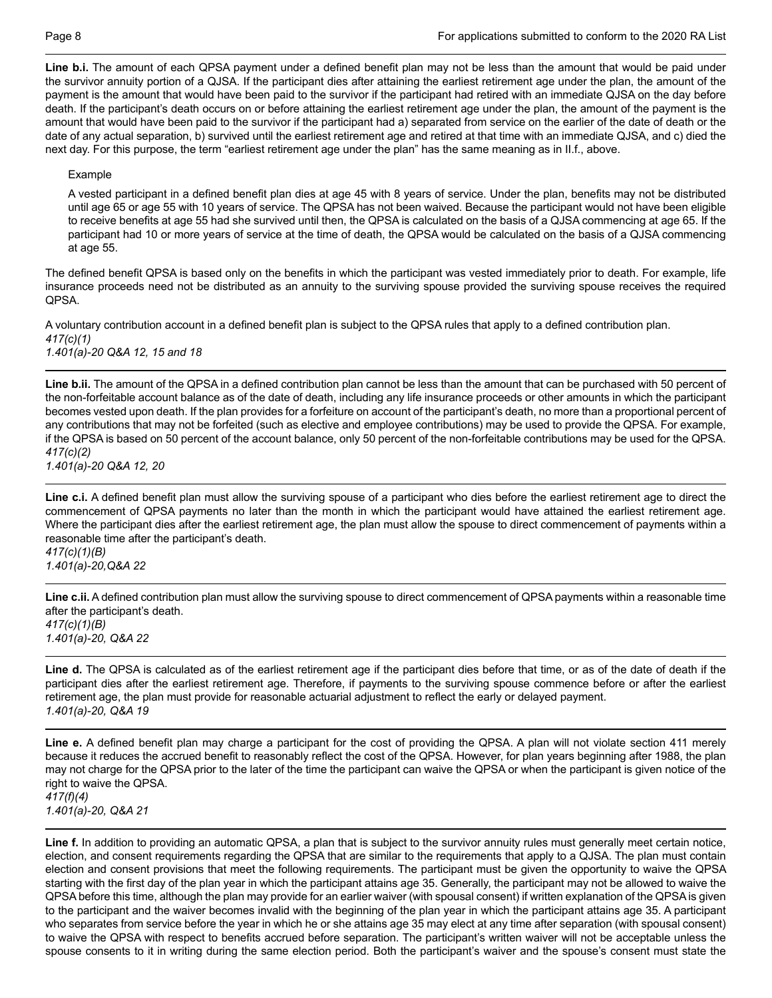**Line b.i.** The amount of each QPSA payment under a defined benefit plan may not be less than the amount that would be paid under the survivor annuity portion of a QJSA. If the participant dies after attaining the earliest retirement age under the plan, the amount of the payment is the amount that would have been paid to the survivor if the participant had retired with an immediate QJSA on the day before death. If the participant's death occurs on or before attaining the earliest retirement age under the plan, the amount of the payment is the amount that would have been paid to the survivor if the participant had a) separated from service on the earlier of the date of death or the date of any actual separation, b) survived until the earliest retirement age and retired at that time with an immediate QJSA, and c) died the next day. For this purpose, the term "earliest retirement age under the plan" has the same meaning as in II.f., above.

### Example

A vested participant in a defined benefit plan dies at age 45 with 8 years of service. Under the plan, benefits may not be distributed until age 65 or age 55 with 10 years of service. The QPSA has not been waived. Because the participant would not have been eligible to receive benefits at age 55 had she survived until then, the QPSA is calculated on the basis of a QJSA commencing at age 65. If the participant had 10 or more years of service at the time of death, the QPSA would be calculated on the basis of a QJSA commencing at age 55.

The defined benefit QPSA is based only on the benefits in which the participant was vested immediately prior to death. For example, life insurance proceeds need not be distributed as an annuity to the surviving spouse provided the surviving spouse receives the required QPSA.

A voluntary contribution account in a defined benefit plan is subject to the QPSA rules that apply to a defined contribution plan. *417(c)(1)*

*1.401(a)-20 Q&A 12, 15 and 18*

**Line b.ii.** The amount of the QPSA in a defined contribution plan cannot be less than the amount that can be purchased with 50 percent of the non-forfeitable account balance as of the date of death, including any life insurance proceeds or other amounts in which the participant becomes vested upon death. If the plan provides for a forfeiture on account of the participant's death, no more than a proportional percent of any contributions that may not be forfeited (such as elective and employee contributions) may be used to provide the QPSA. For example, if the QPSA is based on 50 percent of the account balance, only 50 percent of the non-forfeitable contributions may be used for the QPSA. *417(c)(2)*

*1.401(a)-20 Q&A 12, 20*

**Line c.i.** A defined benefit plan must allow the surviving spouse of a participant who dies before the earliest retirement age to direct the commencement of QPSA payments no later than the month in which the participant would have attained the earliest retirement age. Where the participant dies after the earliest retirement age, the plan must allow the spouse to direct commencement of payments within a reasonable time after the participant's death.

*417(c)(1)(B) 1.401(a)-20,Q&A 22*

**Line c.ii.** A defined contribution plan must allow the surviving spouse to direct commencement of QPSA payments within a reasonable time after the participant's death. *417(c)(1)(B) 1.401(a)-20, Q&A 22*

**Line d.** The QPSA is calculated as of the earliest retirement age if the participant dies before that time, or as of the date of death if the participant dies after the earliest retirement age. Therefore, if payments to the surviving spouse commence before or after the earliest retirement age, the plan must provide for reasonable actuarial adjustment to reflect the early or delayed payment. *1.401(a)-20, Q&A 19*

**Line e.** A defined benefit plan may charge a participant for the cost of providing the QPSA. A plan will not violate section 411 merely because it reduces the accrued benefit to reasonably reflect the cost of the QPSA. However, for plan years beginning after 1988, the plan may not charge for the QPSA prior to the later of the time the participant can waive the QPSA or when the participant is given notice of the right to waive the QPSA. *417(f)(4)*

*1.401(a)-20, Q&A 21*

**Line f.** In addition to providing an automatic QPSA, a plan that is subject to the survivor annuity rules must generally meet certain notice, election, and consent requirements regarding the QPSA that are similar to the requirements that apply to a QJSA. The plan must contain election and consent provisions that meet the following requirements. The participant must be given the opportunity to waive the QPSA starting with the first day of the plan year in which the participant attains age 35. Generally, the participant may not be allowed to waive the QPSA before this time, although the plan may provide for an earlier waiver (with spousal consent) if written explanation of the QPSA is given to the participant and the waiver becomes invalid with the beginning of the plan year in which the participant attains age 35. A participant who separates from service before the year in which he or she attains age 35 may elect at any time after separation (with spousal consent) to waive the QPSA with respect to benefits accrued before separation. The participant's written waiver will not be acceptable unless the spouse consents to it in writing during the same election period. Both the participant's waiver and the spouse's consent must state the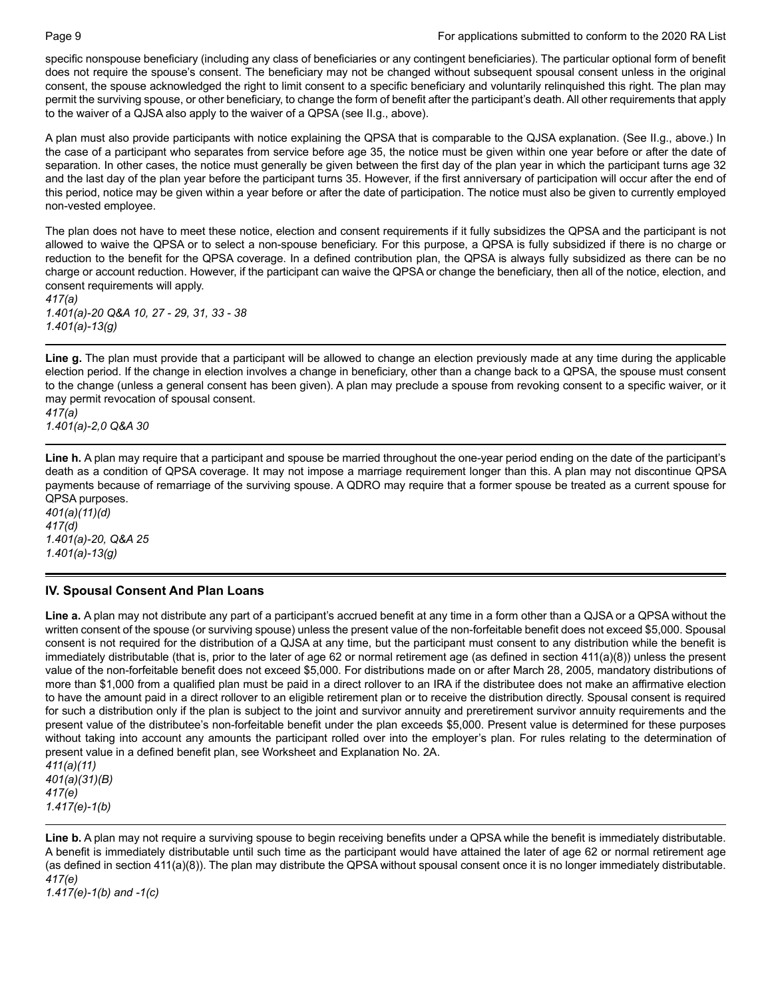specific nonspouse beneficiary (including any class of beneficiaries or any contingent beneficiaries). The particular optional form of benefit does not require the spouse's consent. The beneficiary may not be changed without subsequent spousal consent unless in the original consent, the spouse acknowledged the right to limit consent to a specific beneficiary and voluntarily relinquished this right. The plan may permit the surviving spouse, or other beneficiary, to change the form of benefit after the participant's death. All other requirements that apply to the waiver of a QJSA also apply to the waiver of a QPSA (see II.g., above).

A plan must also provide participants with notice explaining the QPSA that is comparable to the QJSA explanation. (See II.g., above.) In the case of a participant who separates from service before age 35, the notice must be given within one year before or after the date of separation. In other cases, the notice must generally be given between the first day of the plan year in which the participant turns age 32 and the last day of the plan year before the participant turns 35. However, if the first anniversary of participation will occur after the end of this period, notice may be given within a year before or after the date of participation. The notice must also be given to currently employed non-vested employee.

The plan does not have to meet these notice, election and consent requirements if it fully subsidizes the QPSA and the participant is not allowed to waive the QPSA or to select a non-spouse beneficiary. For this purpose, a QPSA is fully subsidized if there is no charge or reduction to the benefit for the QPSA coverage. In a defined contribution plan, the QPSA is always fully subsidized as there can be no charge or account reduction. However, if the participant can waive the QPSA or change the beneficiary, then all of the notice, election, and consent requirements will apply.

*417(a) 1.401(a)-20 Q&A 10, 27 - 29, 31, 33 - 38 1.401(a)-13(g)* 

**Line g.** The plan must provide that a participant will be allowed to change an election previously made at any time during the applicable election period. If the change in election involves a change in beneficiary, other than a change back to a QPSA, the spouse must consent to the change (unless a general consent has been given). A plan may preclude a spouse from revoking consent to a specific waiver, or it may permit revocation of spousal consent.

*417(a) 1.401(a)-2,0 Q&A 30*

**Line h.** A plan may require that a participant and spouse be married throughout the one-year period ending on the date of the participant's death as a condition of QPSA coverage. It may not impose a marriage requirement longer than this. A plan may not discontinue QPSA payments because of remarriage of the surviving spouse. A QDRO may require that a former spouse be treated as a current spouse for QPSA purposes.

*401(a)(11)(d) 417(d) 1.401(a)-20, Q&A 25 1.401(a)-13(g)*

### **IV. Spousal Consent And Plan Loans**

**Line a.** A plan may not distribute any part of a participant's accrued benefit at any time in a form other than a QJSA or a QPSA without the written consent of the spouse (or surviving spouse) unless the present value of the non-forfeitable benefit does not exceed \$5,000. Spousal consent is not required for the distribution of a QJSA at any time, but the participant must consent to any distribution while the benefit is immediately distributable (that is, prior to the later of age 62 or normal retirement age (as defined in section 411(a)(8)) unless the present value of the non-forfeitable benefit does not exceed \$5,000. For distributions made on or after March 28, 2005, mandatory distributions of more than \$1,000 from a qualified plan must be paid in a direct rollover to an IRA if the distributee does not make an affirmative election to have the amount paid in a direct rollover to an eligible retirement plan or to receive the distribution directly. Spousal consent is required for such a distribution only if the plan is subject to the joint and survivor annuity and preretirement survivor annuity requirements and the present value of the distributee's non-forfeitable benefit under the plan exceeds \$5,000. Present value is determined for these purposes without taking into account any amounts the participant rolled over into the employer's plan. For rules relating to the determination of present value in a defined benefit plan, see Worksheet and Explanation No. 2A. *411(a)(11) 401(a)(31)(B)*

*417(e) 1.417(e)-1(b)*

Line b. A plan may not require a surviving spouse to begin receiving benefits under a QPSA while the benefit is immediately distributable. A benefit is immediately distributable until such time as the participant would have attained the later of age 62 or normal retirement age (as defined in section 411(a)(8)). The plan may distribute the QPSA without spousal consent once it is no longer immediately distributable. *417(e)*

*1.417(e)-1(b) and -1(c)*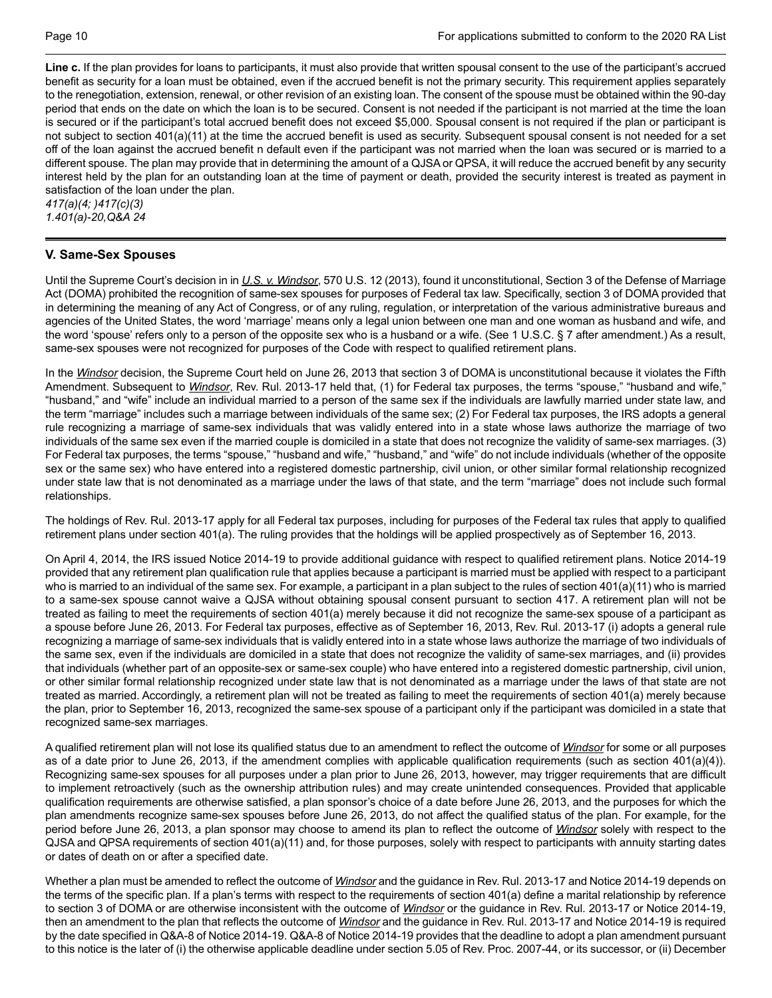**Line c.** If the plan provides for loans to participants, it must also provide that written spousal consent to the use of the participant's accrued benefit as security for a loan must be obtained, even if the accrued benefit is not the primary security. This requirement applies separately to the renegotiation, extension, renewal, or other revision of an existing loan. The consent of the spouse must be obtained within the 90-day period that ends on the date on which the loan is to be secured. Consent is not needed if the participant is not married at the time the loan is secured or if the participant's total accrued benefit does not exceed \$5,000. Spousal consent is not required if the plan or participant is not subject to section 401(a)(11) at the time the accrued benefit is used as security. Subsequent spousal consent is not needed for a set off of the loan against the accrued benefit n default even if the participant was not married when the loan was secured or is married to a different spouse. The plan may provide that in determining the amount of a QJSA or QPSA, it will reduce the accrued benefit by any security interest held by the plan for an outstanding loan at the time of payment or death, provided the security interest is treated as payment in satisfaction of the loan under the plan.

*417(a)(4; )417(c)(3) 1.401(a)-20,Q&A 24*

### **V. Same-Sex Spouses**

Until the Supreme Court's decision in in *U.S. v. Windsor*, 570 U.S. 12 (2013), found it unconstitutional, Section 3 of the Defense of Marriage Act (DOMA) prohibited the recognition of same-sex spouses for purposes of Federal tax law. Specifically, section 3 of DOMA provided that in determining the meaning of any Act of Congress, or of any ruling, regulation, or interpretation of the various administrative bureaus and agencies of the United States, the word 'marriage' means only a legal union between one man and one woman as husband and wife, and the word 'spouse' refers only to a person of the opposite sex who is a husband or a wife. (See 1 U.S.C. § 7 after amendment.) As a result, same-sex spouses were not recognized for purposes of the Code with respect to qualified retirement plans.

In the *Windsor* decision, the Supreme Court held on June 26, 2013 that section 3 of DOMA is unconstitutional because it violates the Fifth Amendment. Subsequent to *Windsor*, Rev. Rul. 2013-17 held that, (1) for Federal tax purposes, the terms "spouse," "husband and wife," "husband," and "wife" include an individual married to a person of the same sex if the individuals are lawfully married under state law, and the term "marriage" includes such a marriage between individuals of the same sex; (2) For Federal tax purposes, the IRS adopts a general rule recognizing a marriage of same-sex individuals that was validly entered into in a state whose laws authorize the marriage of two individuals of the same sex even if the married couple is domiciled in a state that does not recognize the validity of same-sex marriages. (3) For Federal tax purposes, the terms "spouse," "husband and wife," "husband," and "wife" do not include individuals (whether of the opposite sex or the same sex) who have entered into a registered domestic partnership, civil union, or other similar formal relationship recognized under state law that is not denominated as a marriage under the laws of that state, and the term "marriage" does not include such formal relationships.

The holdings of Rev. Rul. 2013-17 apply for all Federal tax purposes, including for purposes of the Federal tax rules that apply to qualified retirement plans under section 401(a). The ruling provides that the holdings will be applied prospectively as of September 16, 2013.

On April 4, 2014, the IRS issued Notice 2014-19 to provide additional guidance with respect to qualified retirement plans. Notice 2014-19 provided that any retirement plan qualification rule that applies because a participant is married must be applied with respect to a participant who is married to an individual of the same sex. For example, a participant in a plan subject to the rules of section 401(a)(11) who is married to a same-sex spouse cannot waive a QJSA without obtaining spousal consent pursuant to section 417. A retirement plan will not be treated as failing to meet the requirements of section 401(a) merely because it did not recognize the same-sex spouse of a participant as a spouse before June 26, 2013. For Federal tax purposes, effective as of September 16, 2013, Rev. Rul. 2013-17 (i) adopts a general rule recognizing a marriage of same-sex individuals that is validly entered into in a state whose laws authorize the marriage of two individuals of the same sex, even if the individuals are domiciled in a state that does not recognize the validity of same-sex marriages, and (ii) provides that individuals (whether part of an opposite-sex or same-sex couple) who have entered into a registered domestic partnership, civil union, or other similar formal relationship recognized under state law that is not denominated as a marriage under the laws of that state are not treated as married. Accordingly, a retirement plan will not be treated as failing to meet the requirements of section 401(a) merely because the plan, prior to September 16, 2013, recognized the same-sex spouse of a participant only if the participant was domiciled in a state that recognized same-sex marriages.

A qualified retirement plan will not lose its qualified status due to an amendment to reflect the outcome of *Windsor* for some or all purposes as of a date prior to June 26, 2013, if the amendment complies with applicable qualification requirements (such as section 401(a)(4)). Recognizing same-sex spouses for all purposes under a plan prior to June 26, 2013, however, may trigger requirements that are difficult to implement retroactively (such as the ownership attribution rules) and may create unintended consequences. Provided that applicable qualification requirements are otherwise satisfied, a plan sponsor's choice of a date before June 26, 2013, and the purposes for which the plan amendments recognize same-sex spouses before June 26, 2013, do not affect the qualified status of the plan. For example, for the period before June 26, 2013, a plan sponsor may choose to amend its plan to reflect the outcome of *Windsor* solely with respect to the QJSA and QPSA requirements of section 401(a)(11) and, for those purposes, solely with respect to participants with annuity starting dates or dates of death on or after a specified date.

Whether a plan must be amended to reflect the outcome of *Windsor* and the guidance in Rev. Rul. 2013-17 and Notice 2014-19 depends on the terms of the specific plan. If a plan's terms with respect to the requirements of section 401(a) define a marital relationship by reference to section 3 of DOMA or are otherwise inconsistent with the outcome of *Windsor* or the guidance in Rev. Rul. 2013-17 or Notice 2014-19, then an amendment to the plan that reflects the outcome of *Windsor* and the guidance in Rev. Rul. 2013-17 and Notice 2014-19 is required by the date specified in Q&A-8 of Notice 2014-19. Q&A-8 of Notice 2014-19 provides that the deadline to adopt a plan amendment pursuant to this notice is the later of (i) the otherwise applicable deadline under section 5.05 of Rev. Proc. 2007-44, or its successor, or (ii) December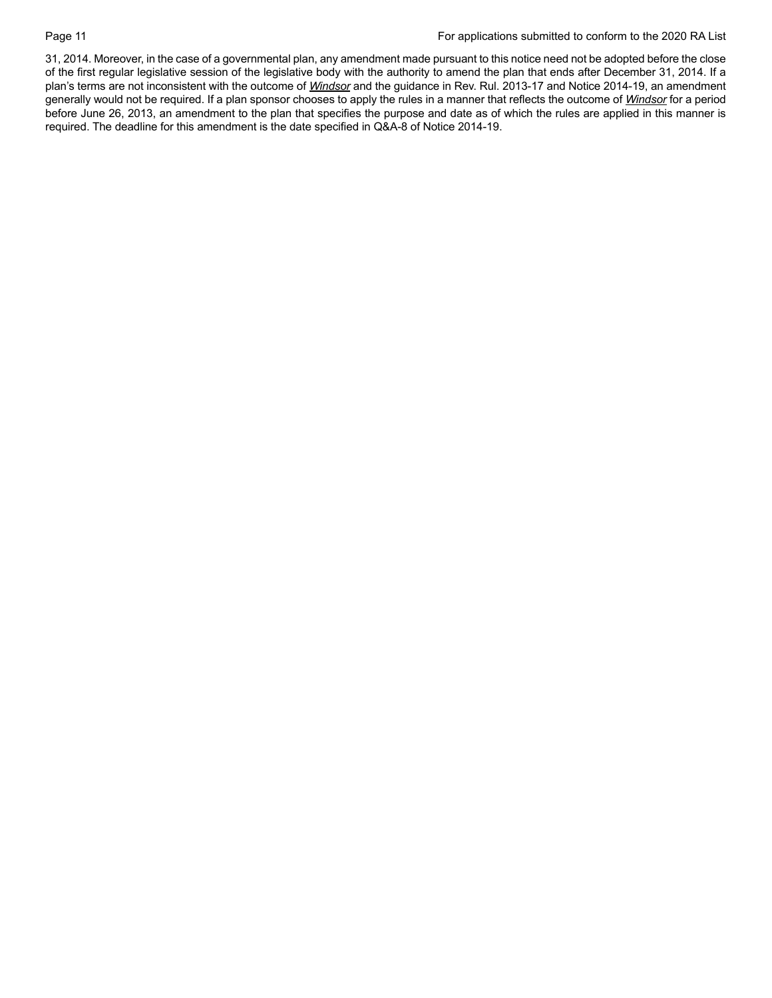#### Page 11 **Page 11 For applications submitted to conform to the 2020 RA List For applications submitted to conform to the 2020 RA List**

31, 2014. Moreover, in the case of a governmental plan, any amendment made pursuant to this notice need not be adopted before the close of the first regular legislative session of the legislative body with the authority to amend the plan that ends after December 31, 2014. If a plan's terms are not inconsistent with the outcome of *Windsor* and the guidance in Rev. Rul. 2013-17 and Notice 2014-19, an amendment generally would not be required. If a plan sponsor chooses to apply the rules in a manner that reflects the outcome of *Windsor* for a period before June 26, 2013, an amendment to the plan that specifies the purpose and date as of which the rules are applied in this manner is required. The deadline for this amendment is the date specified in Q&A-8 of Notice 2014-19.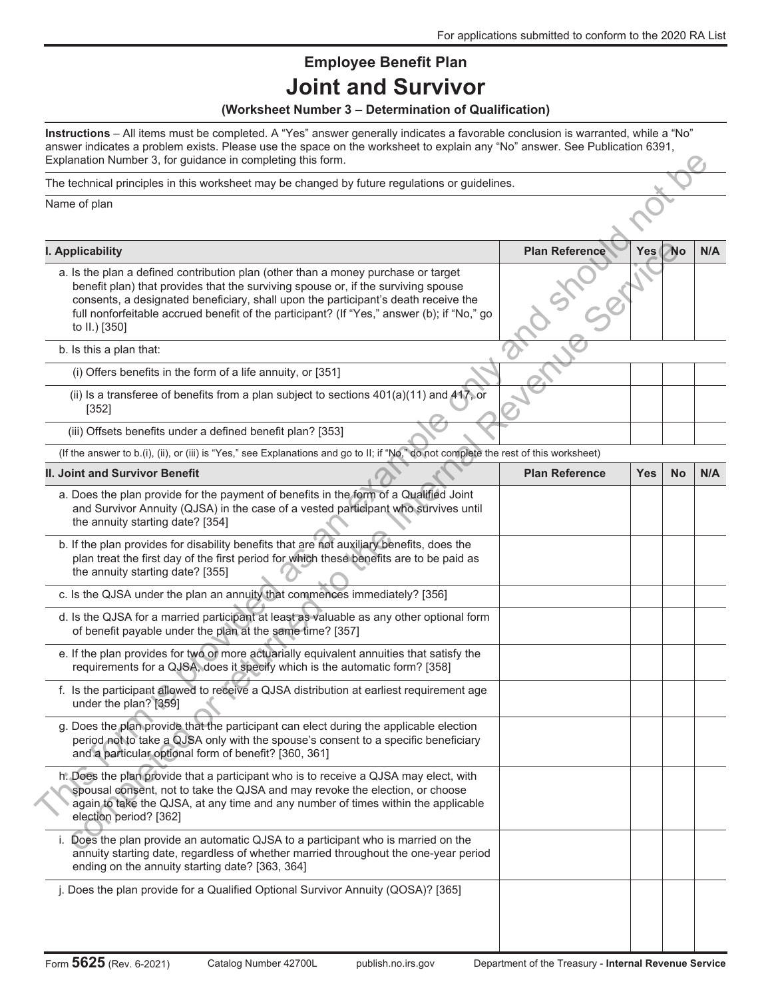## **Employee Benefit Plan Joint and Survivor**

### **(Worksheet Number 3 – Determination of Qualification)**

**Instructions** – All items must be completed. A "Yes" answer generally indicates a favorable conclusion is warranted, while a "No" answer indicates a problem exists. Please use the space on the worksheet to explain any "No" answer. See Publication 6391, Explanation Number 3, for guidance in completing this form.

#### Name of plan

| I. Applicability                                                                                                                                                                                                                                                                                                                                                            | <b>Plan Reference</b> | Yes <i>I</i><br>- NO | N/A |
|-----------------------------------------------------------------------------------------------------------------------------------------------------------------------------------------------------------------------------------------------------------------------------------------------------------------------------------------------------------------------------|-----------------------|----------------------|-----|
| a. Is the plan a defined contribution plan (other than a money purchase or target<br>benefit plan) that provides that the surviving spouse or, if the surviving spouse<br>consents, a designated beneficiary, shall upon the participant's death receive the<br>full nonforfeitable accrued benefit of the participant? (If "Yes," answer (b); if "No," go<br>to II.) [350] |                       |                      |     |
| b. Is this a plan that:                                                                                                                                                                                                                                                                                                                                                     |                       |                      |     |
| (i) Offers benefits in the form of a life annuity, or $[351]$                                                                                                                                                                                                                                                                                                               |                       |                      |     |
| (ii) Is a transferee of benefits from a plan subject to sections $401(a)(11)$ and $417$ , or<br>[352]                                                                                                                                                                                                                                                                       |                       |                      |     |
| (iii) Offsets benefits under a defined benefit plan? [353]                                                                                                                                                                                                                                                                                                                  |                       |                      |     |
|                                                                                                                                                                                                                                                                                                                                                                             |                       |                      |     |

| Explanation Number 3, for guidance in completing this form.                                                                                                                                                                                                                                                                                                                 |                                                                                                |            |           |     |
|-----------------------------------------------------------------------------------------------------------------------------------------------------------------------------------------------------------------------------------------------------------------------------------------------------------------------------------------------------------------------------|------------------------------------------------------------------------------------------------|------------|-----------|-----|
|                                                                                                                                                                                                                                                                                                                                                                             | The technical principles in this worksheet may be changed by future regulations or guidelines. |            |           |     |
| Name of plan                                                                                                                                                                                                                                                                                                                                                                |                                                                                                |            |           |     |
| I. Applicability                                                                                                                                                                                                                                                                                                                                                            | <b>Plan Reference</b>                                                                          | <b>Yes</b> | <b>No</b> | N/A |
| a. Is the plan a defined contribution plan (other than a money purchase or target<br>benefit plan) that provides that the surviving spouse or, if the surviving spouse<br>consents, a designated beneficiary, shall upon the participant's death receive the<br>full nonforfeitable accrued benefit of the participant? (If "Yes," answer (b); if "No," go<br>to II.) [350] |                                                                                                |            |           |     |
| b. Is this a plan that:                                                                                                                                                                                                                                                                                                                                                     |                                                                                                |            |           |     |
| (i) Offers benefits in the form of a life annuity, or [351]                                                                                                                                                                                                                                                                                                                 |                                                                                                |            |           |     |
| (ii) Is a transferee of benefits from a plan subject to sections 401(a)(11) and 417, or<br>[352]                                                                                                                                                                                                                                                                            |                                                                                                |            |           |     |
| (iii) Offsets benefits under a defined benefit plan? [353]                                                                                                                                                                                                                                                                                                                  |                                                                                                |            |           |     |
| (If the answer to b.(i), (ii), or (iii) is "Yes," see Explanations and go to II; if "No," do not complete the rest of this worksheet)                                                                                                                                                                                                                                       |                                                                                                |            |           |     |
| <b>II. Joint and Survivor Benefit</b>                                                                                                                                                                                                                                                                                                                                       | <b>Plan Reference</b>                                                                          | <b>Yes</b> | <b>No</b> | N/A |
| a. Does the plan provide for the payment of benefits in the form of a Qualified Joint<br>and Survivor Annuity (QJSA) in the case of a vested participant who survives until<br>the annuity starting date? [354]                                                                                                                                                             |                                                                                                |            |           |     |
| b. If the plan provides for disability benefits that are not auxiliary benefits, does the<br>plan treat the first day of the first period for which these benefits are to be paid as<br>the annuity starting date? [355]                                                                                                                                                    |                                                                                                |            |           |     |
| c. Is the QJSA under the plan an annuity that commences immediately? [356]                                                                                                                                                                                                                                                                                                  |                                                                                                |            |           |     |
| d. Is the QJSA for a married participant at least as valuable as any other optional form<br>of benefit payable under the plan at the same time? [357]                                                                                                                                                                                                                       |                                                                                                |            |           |     |
| e. If the plan provides for two or more actuarially equivalent annuities that satisfy the<br>requirements for a QJSA, does it specify which is the automatic form? [358]                                                                                                                                                                                                    |                                                                                                |            |           |     |
| f. Is the participant allowed to receive a QJSA distribution at earliest requirement age<br>under the plan? [359]                                                                                                                                                                                                                                                           |                                                                                                |            |           |     |
| g. Does the plan provide that the participant can elect during the applicable election<br>period not to take a QJSA only with the spouse's consent to a specific beneficiary<br>and a particular optional form of benefit? [360, 361]                                                                                                                                       |                                                                                                |            |           |     |
| h: Does the plan provide that a participant who is to receive a QJSA may elect, with<br>spousal consent, not to take the QJSA and may revoke the election, or choose<br>again to take the QJSA, at any time and any number of times within the applicable<br>election period? [362]                                                                                         |                                                                                                |            |           |     |
| i. Does the plan provide an automatic QJSA to a participant who is married on the<br>annuity starting date, regardless of whether married throughout the one-year period<br>ending on the annuity starting date? [363, 364]                                                                                                                                                 |                                                                                                |            |           |     |
| j. Does the plan provide for a Qualified Optional Survivor Annuity (QOSA)? [365]                                                                                                                                                                                                                                                                                            |                                                                                                |            |           |     |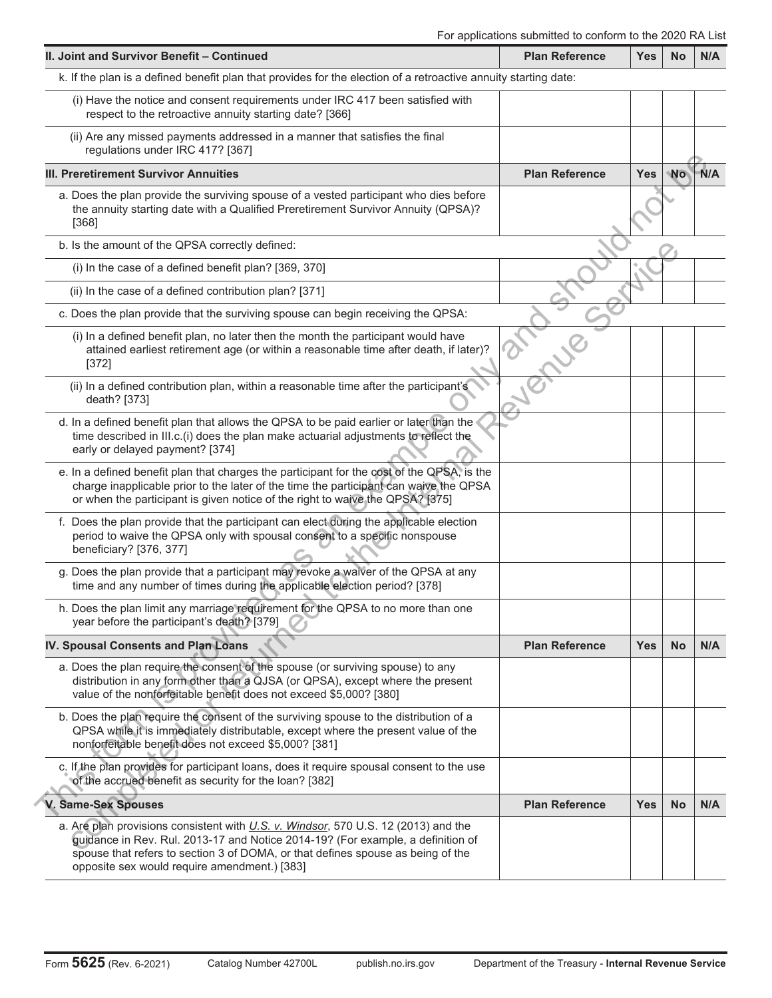| II. Joint and Survivor Benefit - Continued                                                                                                                                                                                                                                                                 | <b>Plan Reference</b> | <b>Yes</b> | <b>No</b> | N/A         |
|------------------------------------------------------------------------------------------------------------------------------------------------------------------------------------------------------------------------------------------------------------------------------------------------------------|-----------------------|------------|-----------|-------------|
| k. If the plan is a defined benefit plan that provides for the election of a retroactive annuity starting date:                                                                                                                                                                                            |                       |            |           |             |
| (i) Have the notice and consent requirements under IRC 417 been satisfied with<br>respect to the retroactive annuity starting date? [366]                                                                                                                                                                  |                       |            |           |             |
| (ii) Are any missed payments addressed in a manner that satisfies the final<br>regulations under IRC 417? [367]                                                                                                                                                                                            |                       |            |           |             |
| <b>III. Preretirement Survivor Annuities</b>                                                                                                                                                                                                                                                               | <b>Plan Reference</b> | <b>Yes</b> | <b>No</b> | $\n  N/A\n$ |
| a. Does the plan provide the surviving spouse of a vested participant who dies before<br>the annuity starting date with a Qualified Preretirement Survivor Annuity (QPSA)?<br>$[368]$                                                                                                                      |                       |            |           |             |
| b. Is the amount of the QPSA correctly defined:                                                                                                                                                                                                                                                            |                       |            |           |             |
| (i) In the case of a defined benefit plan? [369, 370]                                                                                                                                                                                                                                                      |                       |            |           |             |
| (ii) In the case of a defined contribution plan? [371]                                                                                                                                                                                                                                                     |                       |            |           |             |
| c. Does the plan provide that the surviving spouse can begin receiving the QPSA:                                                                                                                                                                                                                           |                       |            |           |             |
| (i) In a defined benefit plan, no later then the month the participant would have<br>attained earliest retirement age (or within a reasonable time after death, if later)?<br>[372]                                                                                                                        | or ise                |            |           |             |
| (ii) In a defined contribution plan, within a reasonable time after the participant's<br>death? [373]                                                                                                                                                                                                      |                       |            |           |             |
| d. In a defined benefit plan that allows the QPSA to be paid earlier or later than the<br>time described in III.c.(i) does the plan make actuarial adjustments to reflect the<br>early or delayed payment? [374]                                                                                           |                       |            |           |             |
| e. In a defined benefit plan that charges the participant for the cost of the QPSA, is the<br>charge inapplicable prior to the later of the time the participant can waive the QPSA<br>or when the participant is given notice of the right to waive the QPSA? [375]                                       |                       |            |           |             |
| f. Does the plan provide that the participant can elect during the applicable election<br>period to waive the QPSA only with spousal consent to a specific nonspouse<br>beneficiary? [376, 377]                                                                                                            |                       |            |           |             |
| g. Does the plan provide that a participant may revoke a waiver of the QPSA at any<br>time and any number of times during the applicable election period? [378]                                                                                                                                            |                       |            |           |             |
| h. Does the plan limit any marriage requirement for the QPSA to no more than one<br>year before the participant's death? [379]                                                                                                                                                                             |                       |            |           |             |
| IV. Spousal Consents and Plan Loans                                                                                                                                                                                                                                                                        | <b>Plan Reference</b> | <b>Yes</b> | <b>No</b> | N/A         |
| a. Does the plan require the consent of the spouse (or surviving spouse) to any<br>distribution in any form other than a QJSA (or QPSA), except where the present<br>value of the nonforfeitable benefit does not exceed \$5,000? [380]                                                                    |                       |            |           |             |
| b. Does the plan require the consent of the surviving spouse to the distribution of a<br>QPSA while it is immediately distributable, except where the present value of the<br>nonforfeitable benefit does not exceed \$5,000? [381]                                                                        |                       |            |           |             |
| c. If the plan provides for participant loans, does it require spousal consent to the use<br>of the accrued benefit as security for the loan? [382]                                                                                                                                                        |                       |            |           |             |
| <b>V. Same-Sex Spouses</b>                                                                                                                                                                                                                                                                                 | <b>Plan Reference</b> | <b>Yes</b> | <b>No</b> | N/A         |
| a. Are plan provisions consistent with $U.S.$ v. Windsor, 570 U.S. 12 (2013) and the<br>guidance in Rev. Rul. 2013-17 and Notice 2014-19? (For example, a definition of<br>spouse that refers to section 3 of DOMA, or that defines spouse as being of the<br>opposite sex would require amendment.) [383] |                       |            |           |             |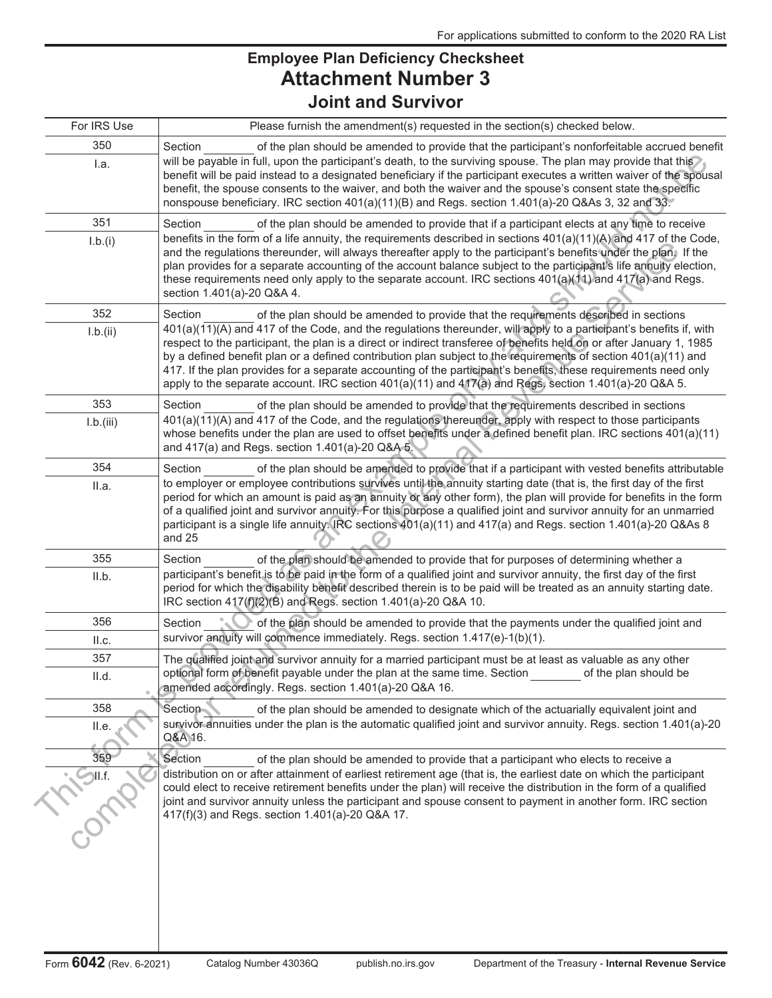## **Employee Plan Deficiency Checksheet Attachment Number 3 Joint and Survivor**

| For IRS Use   | Please furnish the amendment(s) requested in the section(s) checked below.                                                                                                                                                                                                                                                                                                                                                                                                                                                                                                               |
|---------------|------------------------------------------------------------------------------------------------------------------------------------------------------------------------------------------------------------------------------------------------------------------------------------------------------------------------------------------------------------------------------------------------------------------------------------------------------------------------------------------------------------------------------------------------------------------------------------------|
|               |                                                                                                                                                                                                                                                                                                                                                                                                                                                                                                                                                                                          |
| 350<br>l.a.   | Section<br>of the plan should be amended to provide that the participant's nonforfeitable accrued benefit<br>will be payable in full, upon the participant's death, to the surviving spouse. The plan may provide that this<br>benefit will be paid instead to a designated beneficiary if the participant executes a written waiver of the spousal<br>benefit, the spouse consents to the waiver, and both the waiver and the spouse's consent state the specific<br>nonspouse beneficiary. IRC section 401(a)(11)(B) and Regs. section 1.401(a)-20 Q&As 3, 32 and 33.                  |
| 351           | Section<br>of the plan should be amended to provide that if a participant elects at any time to receive                                                                                                                                                                                                                                                                                                                                                                                                                                                                                  |
| I.b.(i)       | benefits in the form of a life annuity, the requirements described in sections 401(a)(11)(A) and 417 of the Code,<br>and the regulations thereunder, will always thereafter apply to the participant's benefits under the plan. If the<br>plan provides for a separate accounting of the account balance subject to the participant's life annuity election,<br>these requirements need only apply to the separate account. IRC sections $401(a)(11)$ and $417(a)$ and Regs.<br>section 1.401(a)-20 Q&A 4.                                                                               |
| 352           | Section<br>of the plan should be amended to provide that the requirements described in sections                                                                                                                                                                                                                                                                                                                                                                                                                                                                                          |
| I.b.(ii)      | 401(a)(11)(A) and 417 of the Code, and the regulations thereunder, will apply to a participant's benefits if, with<br>respect to the participant, the plan is a direct or indirect transferee of benefits held on or after January 1, 1985<br>by a defined benefit plan or a defined contribution plan subject to the requirements of section 401(a)(11) and<br>417. If the plan provides for a separate accounting of the participant's benefits, these requirements need only<br>apply to the separate account. IRC section 401(a)(11) and 417(a) and Regs, section 1.401(a)-20 Q&A 5. |
| 353           | Section<br>of the plan should be amended to provide that the requirements described in sections                                                                                                                                                                                                                                                                                                                                                                                                                                                                                          |
| I.b.(iii)     | 401(a)(11)(A) and 417 of the Code, and the regulations thereunder, apply with respect to those participants<br>whose benefits under the plan are used to offset benefits under a defined benefit plan. IRC sections 401(a)(11)<br>and 417(a) and Regs. section 1.401(a)-20 Q&A 5.                                                                                                                                                                                                                                                                                                        |
| 354           | Section<br>of the plan should be amended to provide that if a participant with vested benefits attributable                                                                                                                                                                                                                                                                                                                                                                                                                                                                              |
| II.a.         | to employer or employee contributions survives until the annuity starting date (that is, the first day of the first<br>period for which an amount is paid as an annuity or any other form), the plan will provide for benefits in the form<br>of a qualified joint and survivor annuity. For this purpose a qualified joint and survivor annuity for an unmarried<br>participant is a single life annuity. IRC sections 401(a)(11) and 417(a) and Regs. section 1.401(a)-20 Q&As 8<br>and 25                                                                                             |
| 355           | Section<br>of the plan should be amended to provide that for purposes of determining whether a                                                                                                                                                                                                                                                                                                                                                                                                                                                                                           |
| II.b.         | participant's benefit is to be paid in the form of a qualified joint and survivor annuity, the first day of the first<br>period for which the disability benefit described therein is to be paid will be treated as an annuity starting date.<br>IRC section 417(f)(2)(B) and Regs. section 1.401(a)-20 Q&A 10.                                                                                                                                                                                                                                                                          |
| 356           | Section<br>of the plan should be amended to provide that the payments under the qualified joint and                                                                                                                                                                                                                                                                                                                                                                                                                                                                                      |
| II.c.         | survivor annuity will commence immediately. Regs. section 1.417(e)-1(b)(1).                                                                                                                                                                                                                                                                                                                                                                                                                                                                                                              |
| 357           | The qualified joint and survivor annuity for a married participant must be at least as valuable as any other                                                                                                                                                                                                                                                                                                                                                                                                                                                                             |
| II.d.         | optional form of benefit payable under the plan at the same time. Section<br>of the plan should be<br>amended accordingly. Regs. section 1.401(a)-20 Q&A 16.                                                                                                                                                                                                                                                                                                                                                                                                                             |
| 358<br>II.e.  | Section<br>of the plan should be amended to designate which of the actuarially equivalent joint and<br>survivor annuities under the plan is the automatic qualified joint and survivor annuity. Regs. section 1.401(a)-20<br>Q&A 16.                                                                                                                                                                                                                                                                                                                                                     |
| 359           | Section<br>of the plan should be amended to provide that a participant who elects to receive a                                                                                                                                                                                                                                                                                                                                                                                                                                                                                           |
| <b>VISITE</b> | distribution on or after attainment of earliest retirement age (that is, the earliest date on which the participant<br>could elect to receive retirement benefits under the plan) will receive the distribution in the form of a qualified<br>joint and survivor annuity unless the participant and spouse consent to payment in another form. IRC section<br>417(f)(3) and Regs. section 1.401(a)-20 Q&A 17.                                                                                                                                                                            |
|               |                                                                                                                                                                                                                                                                                                                                                                                                                                                                                                                                                                                          |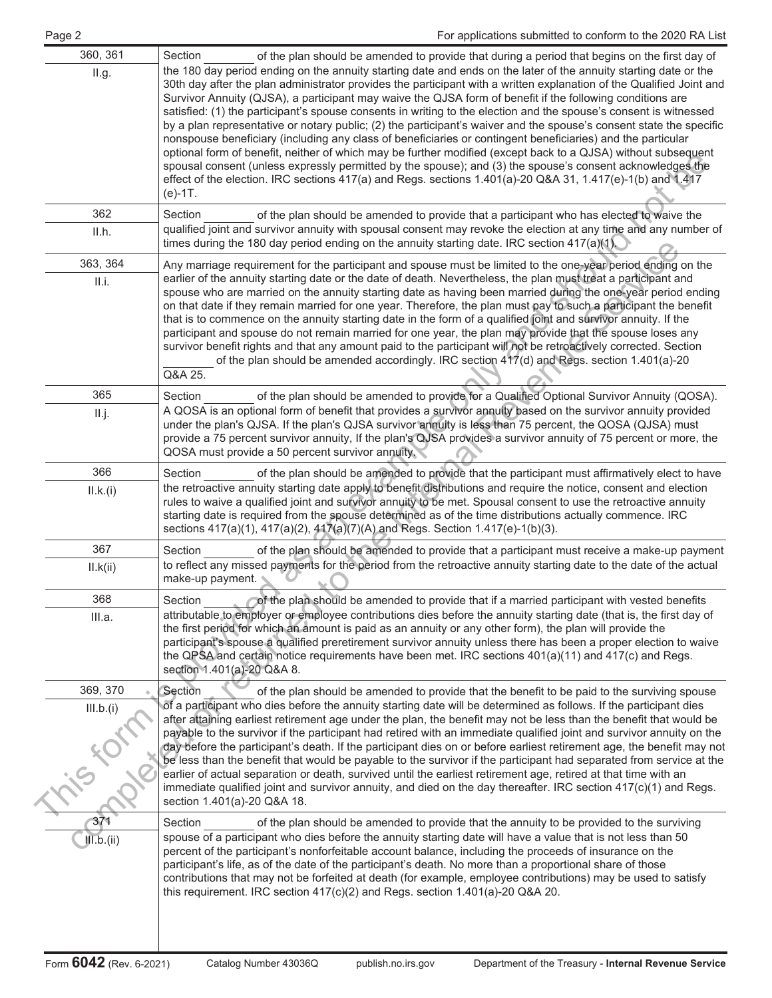| 360, 361                     | Section<br>of the plan should be amended to provide that during a period that begins on the first day of                                                                                                                                                                                                                                                                                                                                                                                                                                                                                                                                                                                                                                                                                                                                                                                                                                                                                                                                                                  |
|------------------------------|---------------------------------------------------------------------------------------------------------------------------------------------------------------------------------------------------------------------------------------------------------------------------------------------------------------------------------------------------------------------------------------------------------------------------------------------------------------------------------------------------------------------------------------------------------------------------------------------------------------------------------------------------------------------------------------------------------------------------------------------------------------------------------------------------------------------------------------------------------------------------------------------------------------------------------------------------------------------------------------------------------------------------------------------------------------------------|
| II.g.                        | the 180 day period ending on the annuity starting date and ends on the later of the annuity starting date or the<br>30th day after the plan administrator provides the participant with a written explanation of the Qualified Joint and<br>Survivor Annuity (QJSA), a participant may waive the QJSA form of benefit if the following conditions are<br>satisfied: (1) the participant's spouse consents in writing to the election and the spouse's consent is witnessed<br>by a plan representative or notary public; (2) the participant's waiver and the spouse's consent state the specific<br>nonspouse beneficiary (including any class of beneficiaries or contingent beneficiaries) and the particular<br>optional form of benefit, neither of which may be further modified (except back to a QJSA) without subsequent<br>spousal consent (unless expressly permitted by the spouse); and (3) the spouse's consent acknowledges the<br>effect of the election. IRC sections 417(a) and Regs. sections 1.401(a)-20 Q&A 31, 1.417(e)-1(b) and 1.417<br>$(e)-1T.$ |
| 362                          | Section<br>of the plan should be amended to provide that a participant who has elected to waive the                                                                                                                                                                                                                                                                                                                                                                                                                                                                                                                                                                                                                                                                                                                                                                                                                                                                                                                                                                       |
| II.h.                        | qualified joint and survivor annuity with spousal consent may revoke the election at any time and any number of<br>times during the 180 day period ending on the annuity starting date. IRC section 417(a)(1).                                                                                                                                                                                                                                                                                                                                                                                                                                                                                                                                                                                                                                                                                                                                                                                                                                                            |
| 363, 364                     | Any marriage requirement for the participant and spouse must be limited to the one-year period ending on the                                                                                                                                                                                                                                                                                                                                                                                                                                                                                                                                                                                                                                                                                                                                                                                                                                                                                                                                                              |
| II.i.                        | earlier of the annuity starting date or the date of death. Nevertheless, the plan must treat a participant and<br>spouse who are married on the annuity starting date as having been married during the one-year period ending<br>on that date if they remain married for one year. Therefore, the plan must pay to such a participant the benefit<br>that is to commence on the annuity starting date in the form of a qualified joint and survivor annuity. If the<br>participant and spouse do not remain married for one year, the plan may provide that the spouse loses any<br>survivor benefit rights and that any amount paid to the participant will not be retroactively corrected. Section<br>of the plan should be amended accordingly. IRC section 417(d) and Regs. section 1.401(a)-20<br>Q&A 25.                                                                                                                                                                                                                                                           |
| 365                          | of the plan should be amended to provide for a Qualified Optional Survivor Annuity (QOSA).<br>Section                                                                                                                                                                                                                                                                                                                                                                                                                                                                                                                                                                                                                                                                                                                                                                                                                                                                                                                                                                     |
| II.j.                        | A QOSA is an optional form of benefit that provides a survivor annuity based on the survivor annuity provided<br>under the plan's QJSA. If the plan's QJSA survivor annuity is less than 75 percent, the QOSA (QJSA) must<br>provide a 75 percent survivor annuity, If the plan's QJSA provides a survivor annuity of 75 percent or more, the<br>QOSA must provide a 50 percent survivor annuity.                                                                                                                                                                                                                                                                                                                                                                                                                                                                                                                                                                                                                                                                         |
| 366                          | Section<br>of the plan should be amended to provide that the participant must affirmatively elect to have                                                                                                                                                                                                                                                                                                                                                                                                                                                                                                                                                                                                                                                                                                                                                                                                                                                                                                                                                                 |
| II.k.(i)                     | the retroactive annuity starting date apply to benefit distributions and require the notice, consent and election<br>rules to waive a qualified joint and survivor annuity to be met. Spousal consent to use the retroactive annuity<br>starting date is required from the spouse determined as of the time distributions actually commence. IRC<br>sections 417(a)(1), 417(a)(2), 417(a)(7)(A) and Regs. Section 1.417(e)-1(b)(3).                                                                                                                                                                                                                                                                                                                                                                                                                                                                                                                                                                                                                                       |
| 367                          | Section<br>of the plan should be amended to provide that a participant must receive a make-up payment                                                                                                                                                                                                                                                                                                                                                                                                                                                                                                                                                                                                                                                                                                                                                                                                                                                                                                                                                                     |
| II.k(ii)                     | to reflect any missed payments for the period from the retroactive annuity starting date to the date of the actual<br>make-up payment.                                                                                                                                                                                                                                                                                                                                                                                                                                                                                                                                                                                                                                                                                                                                                                                                                                                                                                                                    |
| 368                          | of the plan should be amended to provide that if a married participant with vested benefits<br>Section                                                                                                                                                                                                                                                                                                                                                                                                                                                                                                                                                                                                                                                                                                                                                                                                                                                                                                                                                                    |
| III.a.                       | attributable to employer or employee contributions dies before the annuity starting date (that is, the first day of<br>the first period for which an amount is paid as an annuity or any other form), the plan will provide the<br>participant's spouse a qualified preretirement survivor annuity unless there has been a proper election to waive<br>the QPSA and certain notice requirements have been met. IRC sections 401(a)(11) and 417(c) and Regs.<br>section 1.401(a)-20 Q&A 8.                                                                                                                                                                                                                                                                                                                                                                                                                                                                                                                                                                                 |
| 369, 370                     | Section<br>of the plan should be amended to provide that the benefit to be paid to the surviving spouse                                                                                                                                                                                                                                                                                                                                                                                                                                                                                                                                                                                                                                                                                                                                                                                                                                                                                                                                                                   |
| III.b.(i)                    | of a participant who dies before the annuity starting date will be determined as follows. If the participant dies<br>after attaining earliest retirement age under the plan, the benefit may not be less than the benefit that would be<br>payable to the survivor if the participant had retired with an immediate qualified joint and survivor annuity on the<br>day before the participant's death. If the participant dies on or before earliest retirement age, the benefit may not<br>be less than the benefit that would be payable to the survivor if the participant had separated from service at the<br>earlier of actual separation or death, survived until the earliest retirement age, retired at that time with an<br>immediate qualified joint and survivor annuity, and died on the day thereafter. IRC section 417(c)(1) and Regs.<br>section 1.401(a)-20 Q&A 18.                                                                                                                                                                                      |
| 37 <sub>1</sub><br>H.Lb.(ii) | Section<br>of the plan should be amended to provide that the annuity to be provided to the surviving<br>spouse of a participant who dies before the annuity starting date will have a value that is not less than 50<br>percent of the participant's nonforfeitable account balance, including the proceeds of insurance on the<br>participant's life, as of the date of the participant's death. No more than a proportional share of those<br>contributions that may not be forfeited at death (for example, employee contributions) may be used to satisfy<br>this requirement. IRC section 417(c)(2) and Regs. section 1.401(a)-20 Q&A 20.                                                                                                                                                                                                                                                                                                                                                                                                                            |